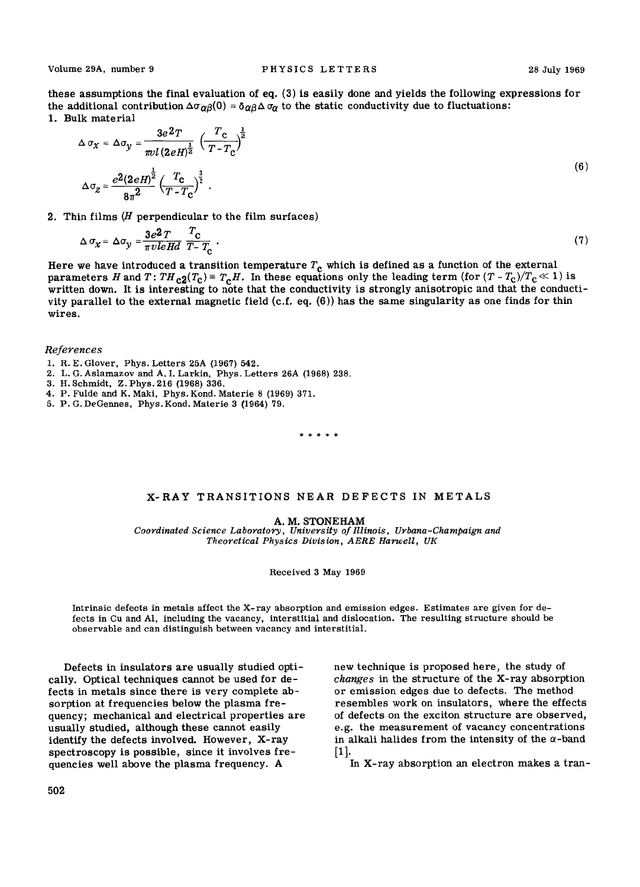these assumptions the final evaluation of eq. (3) is easily done and yields the following expressions for the additional contribution  $\Delta \sigma_{\alpha\beta}(0) = \delta_{\alpha\beta} \Delta \sigma_{\alpha}$  to the static conductivity due to fluctuations: 1. Bulk material

$$
\Delta \sigma_{\chi} = \Delta \sigma_{y} = \frac{3e^{2}T}{\pi v l (2eH)^{\frac{1}{2}}} \left(\frac{T_{\rm c}}{T - T_{\rm c}}\right)^{\frac{1}{2}}
$$
  

$$
\Delta \sigma_{z} = \frac{e^{2}(2eH)^{\frac{1}{2}}}{8\pi^{2}} \left(\frac{T_{\rm c}}{T - T_{\rm c}}\right)^{\frac{3}{2}}.
$$
 (6)

2. Thin films  $(H$  perpendicular to the film surfaces)

$$
\Delta \sigma_{\chi} = \Delta \sigma_{y} = \frac{3e^2 T}{\pi v le H d} \frac{T_{c}}{T - T_{c}} \tag{7}
$$

Here we have introduced a transition temperature  $T_{\rm c}$  which is defined as a function of the external parameters H and T:  $TH_{c2}(T_c) = T_cH$ . In these equations only the leading term (for  $(T - T_c)/T_c \ll 1$ ) is written down. It is interesting to note that the conductivity is strongly anisotropic and that the conductivity parallel to the external magnetic field (c.f. eq. (6)) has the same singularity as one finds for thin wires.

*References* 

- 1. R.E. Glover, Phys. Letters 25A (1967) 542.
- 2. L. G. Aslamazov and A. I. Larkin, Phys. Letters 26A (1968) 238.
- 3. H. Sehmidt, Z. Phys. 216 (1968) 336.
- 4. P. Fulde and K. Maki, Phys. Kond. Materie 8 (1969) 371.
- 5. P. G. DeGennes, Phys. Kond. Materie 3 {1964) 79.

\* \* \* \* \*

### X-RAY TRANSITIONS NEAR DEFECTS IN METALS

**A. M.** STONEHAM

Coordinated Science Laboratory, University of Illinois, Urbana-Champaign and *Theoretical Physics Division, AERE Harwell, UK* 

#### Received 3 May 1969

Intrinsic defects in metals affect the X-ray absorption and emission edges. Estimates are given for defects in Cu and A1, including the vacancy, interstitial and dislocation. The resulting structure should be observable and can distinguish between vacancy and interstitial.

Defects in insulators are usually studied optically. Optical techniques cannot be used for defects in metals since there is very complete absorption at frequencies below the plasma frequency; mechanical and electrical properties are usually studied, although these cannot easily identify the defects involved. However, X-ray spectroscopy is possible, since it involves frequencies well above the plasma frequency. A

502

new technique is proposed here, the study of *changes* in the structure of the X-ray absorption or emission edges due to defects. The method resembles work on insulators, where the effects of defects on the exciton structure are observed, e.g. the measurement of vacancy concentrations in alkali halides from the intensity of the  $\alpha$ -band [i].

In X-ray absorption an electron makes a tran-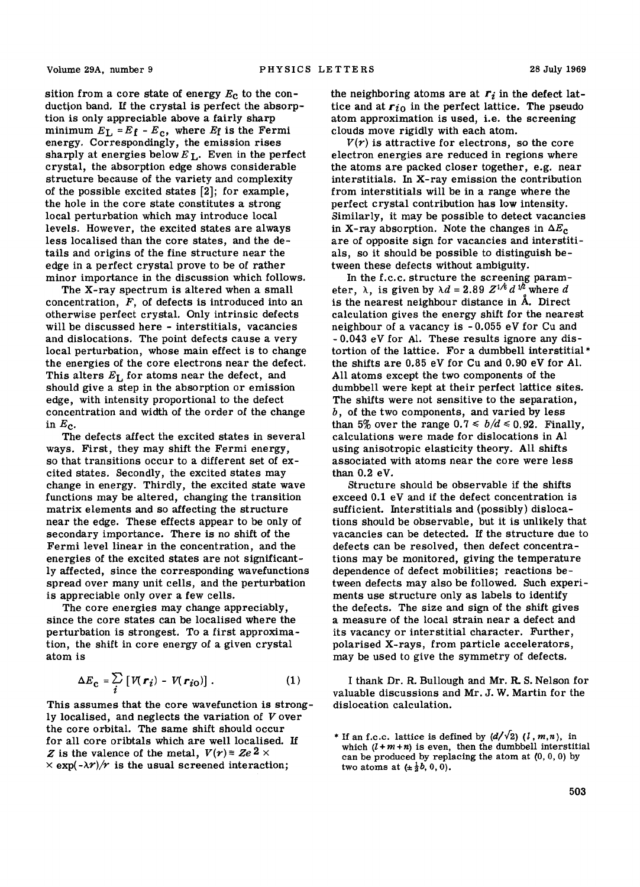sition from a core state of energy  $E<sub>c</sub>$  to the conduction band. If the crystal is perfect the absorption is only appreciable above a fairly sharp minimum  $E_L = E_f - E_c$ , where  $E_f$  is the Fermi energy. Correspondingly, the emission rises sharply at energies below  $E_L$ . Even in the perfect crystal, the absorption edge shows considerable structure because of the variety and complexity of the possible excited states [2]; for example, the hole in the core state constitutes a strong local perturbation which may introduce local levels. However, the excited states are always less localised than the core states, and the details and origins of the fine structure near the edge in a perfect crystal prove to be of rather minor importance in the discussion which follows.

The X-ray spectrum is altered when a small concentration, F, of defects is introduced into an otherwise perfect crystal. Only intrinsic defects will be discussed here - interstitials, vacancies and dislocations. The point defects cause a very local perturbation, whose main effect is to change the energies of the core electrons near the defect. This alters  $E_I$  for atoms near the defect, and should give a step in the absorption or emission edge, with intensity proportional to the defect concentration and width of the order of the change in  $E_c$ .

The defects affect the excited states in several ways. First, they may shift the Fermi energy, so that transitions occur to a different set of excited states. Secondly, the excited states may change in energy. Thirdly, the excited state wave functions may be altered, changing the transition matrix elements and so affecting the structure near the edge. These effects appear to be only of secondary importance. There is no shift of the Fermi level linear in the concentration, and the energies of the excited states are not significantly affected, since the corresponding wavefunctions spread over many unit cells, and the perturbation is appreciable only over a few cells.

The core energies may change appreciably, since the core states can be localised where the perturbation is strongest. To a first approximation, the shift in core energy of a given crystal atom is

$$
\Delta E_{\mathbf{C}} = \sum_{i} \left[ V(\mathbf{r}_{i}) - V(\mathbf{r}_{i\mathbf{O}}) \right]. \tag{1}
$$

This assumes that the core wavefunction is strongly localised, and neglects the variation of V over the core orbital. The same shift should occur for all core oribtals which are well localised. If Z is the valence of the metal,  $V(r) = Ze^{2} \times$  $\times$  exp( $-\lambda r$ )/ $\tau$  is the usual screened interaction;

the neighboring atoms are at  $r_i$  in the defect lattice and at  $r_{i0}$  in the perfect lattice. The pseudo atom approximation is used, i.e. the screening clouds move rigidly with each atom.

 $V(r)$  is attractive for electrons, so the core electron energies are reduced in regions where the atoms are packed closer together, e.g. near interstitials. In X-ray emission the contribution from interstitials will be in a range where the perfect crystal contribution has low intensity. Similarly, it may be possible to detect vacancies in X-ray absorption. Note the changes in  $\Delta E_c$ are of opposite sign for vacancies and interstitials, so it should be possible to distinguish between these defects without ambiguity.

In the f.c.c, structure the screening parameter,  $\lambda$ , is given by  $\lambda d = 2.89 Z^{1/6} d^{1/2}$  where d is the nearest neighbour distance in  $\tilde{A}$ . Direct calculation gives the energy shift for the nearest neighbour of a vacancy is - 0.055 eV for Cu and - 0.043 eV for A1. These results ignore any distortion of the lattice. For a dumbbell interstitial\* the shifts are 0.85 eV for Cu and 0.90 eV for A1. All atoms except the two components of the dumbbell were kept at their perfect lattice sites. The shifts were not sensitive to the separation,  $b$ , of the two components, and varied by less than 5% over the range  $0.7 \le b/d \le 0.92$ . Finally, calculations were made for dislocations in A1 using anisotropic elasticity theory. All shifts associated with atoms near the core were less than 0.2 eV.

Structure should be observable if the shifts exceed 0.1 eV and if the defect concentration is sufficient. Interstitials and (possibly) dislocations should be observable, but it is unlikely that vacancies can be detected. If the structure due to defects can be resolved, then defect concentrations may be monitored, giving the temperature dependence of defect mobilities; reactions between defects may also be followed. Such experiments use structure only as labels to identify the defects. The size and sign of the shift gives a measure of the local strain near a defect and its vacancy or interstitial character. Further, polarised X-rays, from particle accelerators, may be used to give the symmetry of defects.

I thank Dr. R. Bullough and Mr. R. S. Nelson for valuable discussions and Mr. J. W. Martin for the dislocation calculation.

<sup>\*</sup> If an f.c.c. lattice is defined by  $(d/\sqrt{2})$   $(l, m, n)$ , in which  $(l + m + n)$  is even, then the dumbbell interstitial can be produced by replacing the atom at  $(0, 0, 0)$  by two atoms at  $(\pm \frac{1}{2}b, 0, 0)$ .